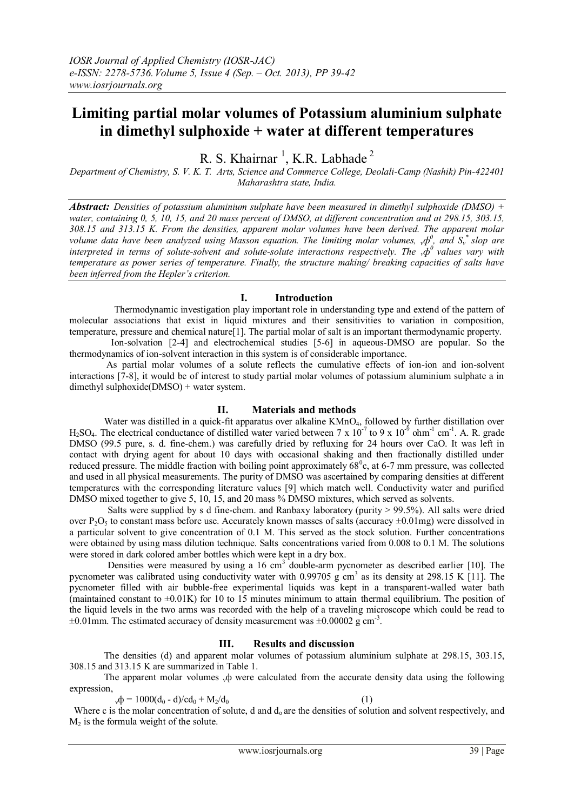# **Limiting partial molar volumes of Potassium aluminium sulphate in dimethyl sulphoxide + water at different temperatures**

R. S. Khairnar<sup>1</sup>, K.R. Labhade<sup>2</sup>

*Department of Chemistry, S. V. K. T. Arts, Science and Commerce College, Deolali-Camp (Nashik) Pin-422401 Maharashtra state, India.*

*Abstract: Densities of potassium aluminium sulphate have been measured in dimethyl sulphoxide (DMSO) + water, containing 0, 5, 10, 15, and 20 mass percent of DMSO, at different concentration and at 298.15, 303.15, 308.15 and 313.15 K. From the densities, apparent molar volumes have been derived. The apparent molar volume data have been analyzed using Masson equation. The limiting molar volumes,*  $_{\rm v}\phi^0$ *, and*  $S_{\rm v}$  *\* slop are interpreted in terms of solute-solvent and solute-solute interactions respectively. The*  $\phi^0$  *values vary with temperature as power series of temperature. Finally, the structure making/ breaking capacities of salts have been inferred from the Hepler's criterion.*

#### **I. Introduction**

 Thermodynamic investigation play important role in understanding type and extend of the pattern of molecular associations that exist in liquid mixtures and their sensitivities to variation in composition, temperature, pressure and chemical nature[1]. The partial molar of salt is an important thermodynamic property.

 Ion-solvation [2-4] and electrochemical studies [5-6] in aqueous-DMSO are popular. So the thermodynamics of ion-solvent interaction in this system is of considerable importance.

As partial molar volumes of a solute reflects the cumulative effects of ion-ion and ion-solvent interactions [7-8], it would be of interest to study partial molar volumes of potassium aluminium sulphate a in dimethyl sulphoxide(DMSO) + water system.

## **II. Materials and methods**

Water was distilled in a quick-fit apparatus over alkaline KMnO<sub>4</sub>, followed by further distillation over  $H_2SO_4$ . The electrical conductance of distilled water varied between 7 x 10<sup>-7</sup> to 9 x 10<sup>-9</sup> ohm<sup>-1</sup> cm<sup>-1</sup>. A. R. grade DMSO (99.5 pure, s. d. fine-chem.) was carefully dried by refluxing for 24 hours over CaO. It was left in contact with drying agent for about 10 days with occasional shaking and then fractionally distilled under reduced pressure. The middle fraction with boiling point approximately  $68^{\circ}$ c, at 6-7 mm pressure, was collected and used in all physical measurements. The purity of DMSO was ascertained by comparing densities at different temperatures with the corresponding literature values [9] which match well. Conductivity water and purified DMSO mixed together to give 5, 10, 15, and 20 mass % DMSO mixtures, which served as solvents.

 Salts were supplied by s d fine-chem. and Ranbaxy laboratory (purity > 99.5%). All salts were dried over P<sub>2</sub>O<sub>5</sub> to constant mass before use. Accurately known masses of salts (accuracy  $\pm$ 0.01mg) were dissolved in a particular solvent to give concentration of 0.1 M. This served as the stock solution. Further concentrations were obtained by using mass dilution technique. Salts concentrations varied from 0.008 to 0.1 M. The solutions were stored in dark colored amber bottles which were kept in a dry box.

Densities were measured by using a 16  $\text{cm}^3$  double-arm pycnometer as described earlier [10]. The pycnometer was calibrated using conductivity water with  $0.99705 \text{ g cm}^3$  as its density at 298.15 K [11]. The pycnometer filled with air bubble-free experimental liquids was kept in a transparent-walled water bath (maintained constant to  $\pm 0.01K$ ) for 10 to 15 minutes minimum to attain thermal equilibrium. The position of the liquid levels in the two arms was recorded with the help of a traveling microscope which could be read to  $\pm 0.01$  mm. The estimated accuracy of density measurement was  $\pm 0.00002$  g cm<sup>-3</sup>.

## **III. Results and discussion**

The densities (d) and apparent molar volumes of potassium aluminium sulphate at 298.15, 303.15, 308.15 and 313.15 K are summarized in Table 1.

The apparent molar volumes  $\phi$  were calculated from the accurate density data using the following expression,

 $v_{\rm v}\Phi = 1000(d_0 - d)/cd_0 + M_2/d_0$  (1)

Where c is the molar concentration of solute, d and  $d_0$  are the densities of solution and solvent respectively, and  $M<sub>2</sub>$  is the formula weight of the solute.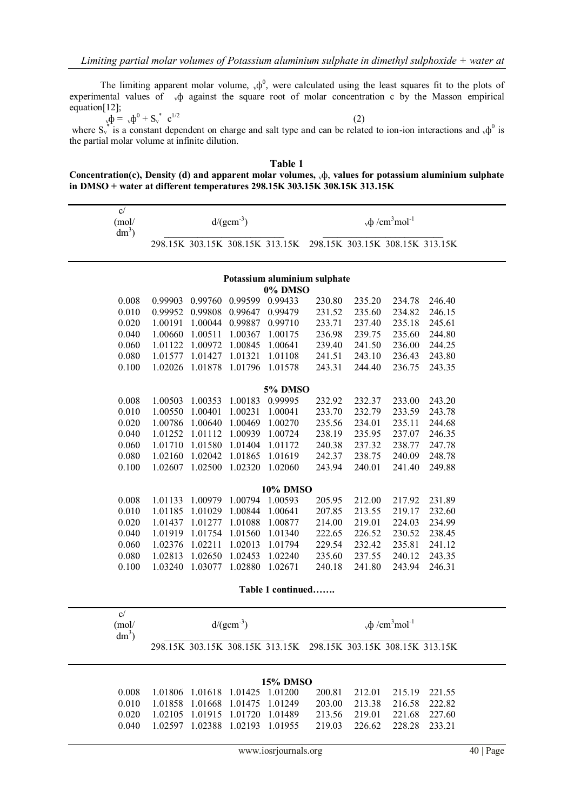The limiting apparent molar volume,  $_{v}\phi^{0}$ , were calculated using the least squares fit to the plots of experimental values of  $\psi$  against the square root of molar concentration c by the Masson empirical equation[12];

 $\Phi = v \Phi^0 + S_v^* \quad c^{1/2}$  (2) where  $S_v^*$  is a constant dependent on charge and salt type and can be related to ion-ion interactions and  $_v\phi^0$  is the partial molar volume at infinite dilution.

| <b>Table 1</b>                                                                                             |
|------------------------------------------------------------------------------------------------------------|
| Concentration(c), Density (d) and apparent molar volumes, $\phi$ , values for potassium aluminium sulphate |
| in DMSO + water at different temperatures $298.15K$ $303.15K$ $308.15K$ $313.15K$                          |

|                              | C/<br>(mol/<br>$dm^3$ ) | $d/(gcm^{-3})$     |                    |                                 |                    | $vφ /cm3mol-1$                                                  |                  |                                                   |                  |  |
|------------------------------|-------------------------|--------------------|--------------------|---------------------------------|--------------------|-----------------------------------------------------------------|------------------|---------------------------------------------------|------------------|--|
|                              |                         |                    |                    |                                 |                    | 298.15K 303.15K 308.15K 313.15K 298.15K 303.15K 308.15K 313.15K |                  |                                                   |                  |  |
| Potassium aluminium sulphate |                         |                    |                    |                                 |                    |                                                                 |                  |                                                   |                  |  |
|                              |                         |                    |                    |                                 | 0% DMSO            |                                                                 |                  |                                                   |                  |  |
|                              | 0.008<br>0.010          | 0.99903<br>0.99952 | 0.99760<br>0.99808 | 0.99599<br>0.99647              | 0.99433<br>0.99479 | 230.80<br>231.52                                                | 235.20<br>235.60 | 234.78<br>234.82                                  | 246.40<br>246.15 |  |
|                              | 0.020                   | 1.00191            | 1.00044            | 0.99887                         | 0.99710            | 233.71                                                          | 237.40           | 235.18                                            | 245.61           |  |
|                              | 0.040                   | 1.00660            | 1.00511            | 1.00367                         | 1.00175            | 236.98                                                          | 239.75           | 235.60                                            | 244.80           |  |
|                              | 0.060                   | 1.01122            | 1.00972            | 1.00845                         | 1.00641            | 239.40                                                          | 241.50           | 236.00                                            | 244.25           |  |
|                              | 0.080                   | 1.01577            | 1.01427            | 1.01321                         | 1.01108            | 241.51                                                          | 243.10           | 236.43                                            | 243.80           |  |
|                              | 0.100                   | 1.02026            | 1.01878            | 1.01796                         | 1.01578            | 243.31                                                          | 244.40           | 236.75                                            | 243.35           |  |
|                              |                         |                    |                    |                                 |                    |                                                                 |                  |                                                   |                  |  |
|                              |                         |                    |                    |                                 | <b>5% DMSO</b>     |                                                                 |                  |                                                   |                  |  |
|                              | 0.008                   | 1.00503            | 1.00353            | 1.00183                         | 0.99995            | 232.92                                                          | 232.37           | 233.00                                            | 243.20           |  |
|                              | 0.010                   | 1.00550            | 1.00401            | 1.00231                         | 1.00041            | 233.70                                                          | 232.79           | 233.59                                            | 243.78           |  |
|                              | 0.020                   | 1.00786            | 1.00640            | 1.00469                         | 1.00270            | 235.56                                                          | 234.01           | 235.11                                            | 244.68           |  |
|                              | 0.040                   | 1.01252            | 1.01112            | 1.00939                         | 1.00724            | 238.19                                                          | 235.95           | 237.07                                            | 246.35           |  |
|                              | 0.060                   | 1.01710            | 1.01580            | 1.01404                         | 1.01172            | 240.38                                                          | 237.32           | 238.77                                            | 247.78           |  |
|                              | 0.080                   | 1.02160            | 1.02042            | 1.01865                         | 1.01619            | 242.37                                                          | 238.75           | 240.09                                            | 248.78           |  |
|                              | 0.100                   | 1.02607            | 1.02500            | 1.02320                         | 1.02060            | 243.94                                                          | 240.01           | 241.40                                            | 249.88           |  |
|                              |                         |                    |                    |                                 |                    |                                                                 |                  |                                                   |                  |  |
|                              |                         |                    |                    |                                 | <b>10% DMSO</b>    |                                                                 |                  |                                                   |                  |  |
|                              | 0.008                   | 1.01133            | 1.00979            | 1.00794                         | 1.00593            | 205.95                                                          | 212.00           | 217.92                                            | 231.89           |  |
|                              | 0.010                   | 1.01185            | 1.01029            | 1.00844                         | 1.00641            | 207.85                                                          | 213.55           | 219.17                                            | 232.60           |  |
|                              | 0.020                   | 1.01437            | 1.01277            | 1.01088                         | 1.00877            | 214.00                                                          | 219.01           | 224.03                                            | 234.99           |  |
|                              | 0.040                   | 1.01919            | 1.01754            | 1.01560                         | 1.01340            | 222.65                                                          | 226.52           | 230.52                                            | 238.45           |  |
|                              | 0.060                   | 1.02376            | 1.02211            | 1.02013                         | 1.01794            | 229.54                                                          | 232.42           | 235.81                                            | 241.12           |  |
|                              | 0.080                   | 1.02813            | 1.02650            | 1.02453                         | 1.02240            | 235.60                                                          | 237.55           | 240.12                                            | 243.35           |  |
|                              | 0.100                   | 1.03240            | 1.03077            | 1.02880                         | 1.02671            | 240.18                                                          | 241.80           | 243.94                                            | 246.31           |  |
|                              |                         |                    |                    |                                 |                    |                                                                 |                  |                                                   |                  |  |
|                              |                         |                    |                    |                                 | Table 1 continued  |                                                                 |                  |                                                   |                  |  |
|                              | $\mathbf{c}/$           |                    |                    |                                 |                    |                                                                 |                  |                                                   |                  |  |
|                              | (mol/                   |                    |                    | $d/(gcm^{-3})$                  |                    |                                                                 |                  | $_{\rm v}\Phi$ /cm <sup>3</sup> mol <sup>-1</sup> |                  |  |
|                              | $dm^3$ )                |                    |                    |                                 |                    |                                                                 |                  |                                                   |                  |  |
|                              |                         |                    |                    |                                 |                    | 298.15K 303.15K 308.15K 313.15K 298.15K 303.15K 308.15K 313.15K |                  |                                                   |                  |  |
|                              |                         |                    |                    |                                 |                    |                                                                 |                  |                                                   |                  |  |
|                              |                         |                    |                    |                                 | <b>15% DMSO</b>    |                                                                 |                  |                                                   |                  |  |
|                              | 0.008                   |                    |                    | 1.01806 1.01618 1.01425 1.01200 |                    | 200.81                                                          | 212.01           | 215.19                                            | 221.55           |  |
|                              | 0.010                   | 1.01858            | 1.01668            | 1.01475                         | 1.01249            | 203.00                                                          | 213.38           | 216.58                                            | 222.82           |  |
|                              | 0.020                   | 1.02105            | 1.01915            | 1.01720                         | 1.01489            | 213.56                                                          | 219.01           | 221.68                                            | 227.60           |  |
|                              | 0.040                   |                    |                    | 1.02597 1.02388 1.02193 1.01955 |                    | 219.03                                                          | 226.62           | 228.28                                            | 233.21           |  |
|                              |                         |                    |                    |                                 |                    |                                                                 |                  |                                                   |                  |  |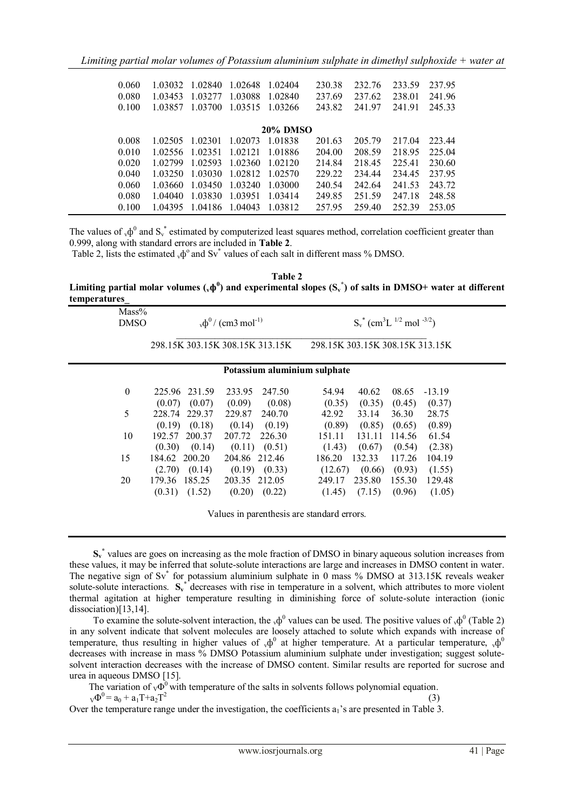| 1 03032<br>1 03453<br>1 03857 | 1.02840<br>1.03277<br>1.03700 | 1 02648<br>1.03088<br>1.03515 | 1 02404<br>1 02840<br>1 03266 | 230.38<br>237.69<br>243.82 | 232.76<br>237.62<br>241.97 | 233.59<br>238.01<br>241.91 | 237.95<br>241.96<br>245.33 |
|-------------------------------|-------------------------------|-------------------------------|-------------------------------|----------------------------|----------------------------|----------------------------|----------------------------|
|                               |                               |                               |                               |                            |                            |                            |                            |
| 1 02505                       | 1.02301                       | 1.02073                       | 1 01838                       | 201.63                     | 205.79                     | 217.04                     | 223.44                     |
| 1 02556                       | 1.02351                       | 1 02121                       | 1 01886                       | 204.00                     | 208.59                     | 218.95                     | 225.04                     |
| 1 02799                       | 1.02593                       | 1.02360                       | 1 02120                       | 214.84                     | 218.45                     | 225.41                     | 230.60                     |
| 1 03250                       | 1.03030                       | 1.02812                       | 1 02570                       | 229.22                     | 234 44                     | 234.45                     | 237.95                     |
| 1 03660                       | 1.03450                       | 1.03240                       | 1 03000                       | 240.54                     | 242.64                     | 241.53                     | 243.72                     |
| 1 04040                       | 1.03830                       | 1.03951                       | 1 0 3 4 1 4                   | 249.85                     | 251.59                     | 247 18                     | 248.58                     |
| 1 04395                       | 1.04186                       | 1.04043                       | 1 03812                       | 257.95                     | 259.40                     | 252.39                     | 253.05                     |
|                               |                               |                               |                               |                            | <b>20% DMSO</b>            |                            |                            |

The values of  $_v\phi^0$  and  $S_v^*$  estimated by computerized least squares method, correlation coefficient greater than 0.999, along with standard errors are included in **Table 2**.

Table 2, lists the estimated  $_{v}\phi^{\circ}$  and Sv<sup>\*</sup> values of each salt in different mass % DMSO.

**Table 2** Limiting partial molar volumes  $(\phi \phi)$  and experimental slopes  $(S_v^*)$  of salts in DMSO+ water at different **temperatures\_**

| $Mass\%$<br><b>DMSO</b> |                                      | $_{v}\phi^{0}$ / (cm3 mol <sup>-1)</sup> |                                       | $S_v^*$ (cm <sup>3</sup> L <sup>1/2</sup> mol <sup>-3/2</sup> ) |
|-------------------------|--------------------------------------|------------------------------------------|---------------------------------------|-----------------------------------------------------------------|
|                         |                                      | 298.15K 303.15K 308.15K 313.15K          | 298.15K 303.15K 308.15K 313.15K       |                                                                 |
|                         |                                      | Potassium aluminium sulphate             |                                       |                                                                 |
| $\mathbf{0}$            | 231.59<br>225.96                     | 233.95<br>247.50                         | 54.94<br>40.62                        | 08.65<br>$-13.19$                                               |
| 5                       | (0.07)<br>(0.07)<br>228.74<br>229.37 | (0.09)<br>(0.08)<br>229.87<br>240.70     | (0.35)<br>(0.35)<br>42.92<br>33.14    | (0.45)<br>(0.37)<br>36.30<br>28.75                              |
|                         | (0.19)<br>(0.18)                     | (0.14)<br>(0.19)                         | (0.89)<br>(0.85)                      | (0.89)<br>(0.65)                                                |
| 10                      | 192.57 200.37<br>(0.14)<br>(0.30)    | 207.72<br>226.30<br>$(0.11)$ $(0.51)$    | 131.11<br>151.11<br>(1.43)<br>(0.67)  | 61.54<br>114.56<br>(0.54)<br>(2.38)                             |
| 15                      | 184.62<br>200.20                     | 204.86 212.46                            | 132.33<br>186.20                      | 117.26<br>104.19                                                |
| 20                      | (0.14)<br>(2.70)<br>179.36<br>185.25 | $(0.19)$ $(0.33)$<br>203.35 212.05       | (0.66)<br>(12.67)<br>235.80<br>249.17 | (0.93)<br>(1.55)<br>155.30<br>129.48                            |
|                         | (1.52)<br>(0.31)                     | (0.22)<br>(0.20)                         | (1.45)<br>(7.15)                      | (0.96)<br>(1.05)                                                |
|                         |                                      |                                          |                                       |                                                                 |

Values in parenthesis are standard errors.

The variation of  $v\Phi$ <sup>0</sup> with temperature of the salts in solvents follows polynomial equation.

 $_{\text{V}}\Phi^0 = a_0 + a_1 T + a_2 T^2$ 

Over the temperature range under the investigation, the coefficients  $a_1$ 's are presented in Table 3.

(3)

S<sub>v</sub><sup>\*</sup> values are goes on increasing as the mole fraction of DMSO in binary aqueous solution increases from these values, it may be inferred that solute-solute interactions are large and increases in DMSO content in water. The negative sign of Sv**\*** for potassium aluminium sulphate in 0 mass % DMSO at 313.15K reveals weaker solute-solute interactions. S<sub>v</sub><sup>\*</sup> decreases with rise in temperature in a solvent, which attributes to more violent thermal agitation at higher temperature resulting in diminishing force of solute-solute interaction (ionic dissociation)[13,14].

To examine the solute-solvent interaction, the  $_v\phi^0$  values can be used. The positive values of  $_v\phi^0$  (Table 2) in any solvent indicate that solvent molecules are loosely attached to solute which expands with increase of temperature, thus resulting in higher values of  ${}_{\nu}\phi^0$  at higher temperature. At a particular temperature,  ${}_{\nu}\phi^0$ decreases with increase in mass % DMSO Potassium aluminium sulphate under investigation; suggest solutesolvent interaction decreases with the increase of DMSO content. Similar results are reported for sucrose and urea in aqueous DMSO [15].